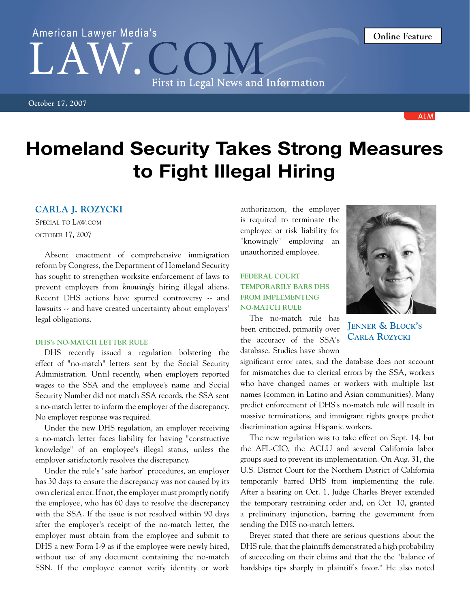## Homeland Security Takes Strong Measures to Fight Illegal Hiring

## **Carla J. Rozycki**

Special to Law.com october 17, 2007

Absent enactment of comprehensive immigration reform by Congress, the Department of Homeland Security has sought to strengthen worksite enforcement of laws to prevent employers from *knowingly* hiring illegal aliens. Recent DHS actions have spurred controversy -- and lawsuits -- and have created uncertainty about employers' legal obligations.

## **DHS's NO-MATCH LETTER RULE**

DHS recently issued a regulation bolstering the effect of "no-match" letters sent by the Social Security Administration. Until recently, when employers reported wages to the SSA and the employee's name and Social Security Number did not match SSA records, the SSA sent a no-match letter to inform the employer of the discrepancy. No employer response was required.

Under the new DHS regulation, an employer receiving a no-match letter faces liability for having "constructive knowledge" of an employee's illegal status, unless the employer satisfactorily resolves the discrepancy.

Under the rule's "safe harbor" procedures, an employer has 30 days to ensure the discrepancy was not caused by its own clerical error. If not, the employer must promptly notify the employee, who has 60 days to resolve the discrepancy with the SSA. If the issue is not resolved within 90 days after the employer's receipt of the no-match letter, the employer must obtain from the employee and submit to DHS a new Form I-9 as if the employee were newly hired, without use of any document containing the no-match SSN. If the employee cannot verify identity or work authorization, the employer is required to terminate the employee or risk liability for "knowingly" employing an unauthorized employee.

## **FEDERAL COURT TEMPORARILY BARS DHS FROM IMPLEMENTING NO-MATCH RULE**

The no-match rule has been criticized, primarily over the accuracy of the SSA's database. Studies have shown

discrimination against Hispanic workers.

significant error rates, and the database does not account for mismatches due to clerical errors by the SSA, workers who have changed names or workers with multiple last names (common in Latino and Asian communities). Many predict enforcement of DHS's no-match rule will result in massive terminations, and immigrant rights groups predict

The new regulation was to take effect on Sept. 14, but the AFL-CIO, the ACLU and several California labor groups sued to prevent its implementation. On Aug. 31, the U.S. District Court for the Northern District of California temporarily barred DHS from implementing the rule. After a hearing on Oct. 1, Judge Charles Breyer extended the temporary restraining order and, on Oct. 10, granted a preliminary injunction, barring the government from sending the DHS no-match letters.

Breyer stated that there are serious questions about the DHS rule, that the plaintiffs demonstrated a high probability of succeeding on their claims and that the the "balance of hardships tips sharply in plaintiff's favor." He also noted

**Jenner & Block's Carla Rozycki**



**Online Feature**

# American Lawyer Media's First in Legal News and Information

**October 17, 2007**